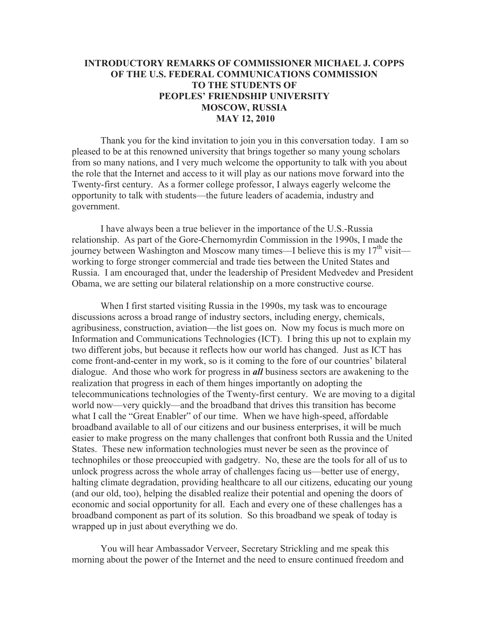## **INTRODUCTORY REMARKS OF COMMISSIONER MICHAEL J. COPPS OF THE U.S. FEDERAL COMMUNICATIONS COMMISSION TO THE STUDENTS OF PEOPLES' FRIENDSHIP UNIVERSITY MOSCOW, RUSSIA MAY 12, 2010**

Thank you for the kind invitation to join you in this conversation today. I am so pleased to be at this renowned university that brings together so many young scholars from so many nations, and I very much welcome the opportunity to talk with you about the role that the Internet and access to it will play as our nations move forward into the Twenty-first century. As a former college professor, I always eagerly welcome the opportunity to talk with students—the future leaders of academia, industry and government.

I have always been a true believer in the importance of the U.S.-Russia relationship. As part of the Gore-Chernomyrdin Commission in the 1990s, I made the journey between Washington and Moscow many times—I believe this is my  $17<sup>th</sup>$  visit working to forge stronger commercial and trade ties between the United States and Russia. I am encouraged that, under the leadership of President Medvedev and President Obama, we are setting our bilateral relationship on a more constructive course.

When I first started visiting Russia in the 1990s, my task was to encourage discussions across a broad range of industry sectors, including energy, chemicals, agribusiness, construction, aviation—the list goes on. Now my focus is much more on Information and Communications Technologies (ICT). I bring this up not to explain my two different jobs, but because it reflects how our world has changed. Just as ICT has come front-and-center in my work, so is it coming to the fore of our countries' bilateral dialogue. And those who work for progress in *all* business sectors are awakening to the realization that progress in each of them hinges importantly on adopting the telecommunications technologies of the Twenty-first century. We are moving to a digital world now—very quickly—and the broadband that drives this transition has become what I call the "Great Enabler" of our time. When we have high-speed, affordable broadband available to all of our citizens and our business enterprises, it will be much easier to make progress on the many challenges that confront both Russia and the United States. These new information technologies must never be seen as the province of technophiles or those preoccupied with gadgetry. No, these are the tools for all of us to unlock progress across the whole array of challenges facing us—better use of energy, halting climate degradation, providing healthcare to all our citizens, educating our young (and our old, too), helping the disabled realize their potential and opening the doors of economic and social opportunity for all. Each and every one of these challenges has a broadband component as part of its solution. So this broadband we speak of today is wrapped up in just about everything we do.

You will hear Ambassador Verveer, Secretary Strickling and me speak this morning about the power of the Internet and the need to ensure continued freedom and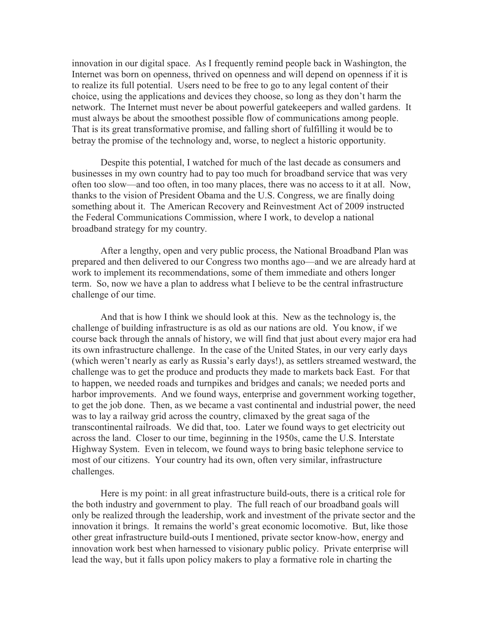innovation in our digital space. As I frequently remind people back in Washington, the Internet was born on openness, thrived on openness and will depend on openness if it is to realize its full potential. Users need to be free to go to any legal content of their choice, using the applications and devices they choose, so long as they don't harm the network. The Internet must never be about powerful gatekeepers and walled gardens. It must always be about the smoothest possible flow of communications among people. That is its great transformative promise, and falling short of fulfilling it would be to betray the promise of the technology and, worse, to neglect a historic opportunity.

Despite this potential, I watched for much of the last decade as consumers and businesses in my own country had to pay too much for broadband service that was very often too slow—and too often, in too many places, there was no access to it at all. Now, thanks to the vision of President Obama and the U.S. Congress, we are finally doing something about it. The American Recovery and Reinvestment Act of 2009 instructed the Federal Communications Commission, where I work, to develop a national broadband strategy for my country.

After a lengthy, open and very public process, the National Broadband Plan was prepared and then delivered to our Congress two months ago—and we are already hard at work to implement its recommendations, some of them immediate and others longer term. So, now we have a plan to address what I believe to be the central infrastructure challenge of our time.

And that is how I think we should look at this. New as the technology is, the challenge of building infrastructure is as old as our nations are old. You know, if we course back through the annals of history, we will find that just about every major era had its own infrastructure challenge. In the case of the United States, in our very early days (which weren't nearly as early as Russia's early days!), as settlers streamed westward, the challenge was to get the produce and products they made to markets back East. For that to happen, we needed roads and turnpikes and bridges and canals; we needed ports and harbor improvements. And we found ways, enterprise and government working together, to get the job done. Then, as we became a vast continental and industrial power, the need was to lay a railway grid across the country, climaxed by the great saga of the transcontinental railroads. We did that, too. Later we found ways to get electricity out across the land. Closer to our time, beginning in the 1950s, came the U.S. Interstate Highway System. Even in telecom, we found ways to bring basic telephone service to most of our citizens. Your country had its own, often very similar, infrastructure challenges.

Here is my point: in all great infrastructure build-outs, there is a critical role for the both industry and government to play. The full reach of our broadband goals will only be realized through the leadership, work and investment of the private sector and the innovation it brings. It remains the world's great economic locomotive. But, like those other great infrastructure build-outs I mentioned, private sector know-how, energy and innovation work best when harnessed to visionary public policy. Private enterprise will lead the way, but it falls upon policy makers to play a formative role in charting the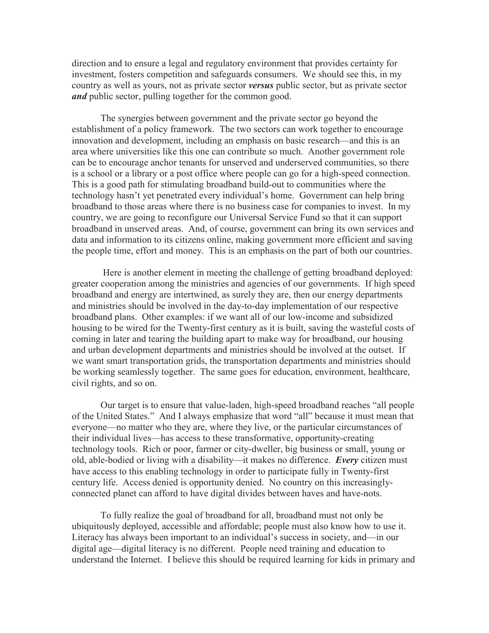direction and to ensure a legal and regulatory environment that provides certainty for investment, fosters competition and safeguards consumers. We should see this, in my country as well as yours, not as private sector *versus* public sector, but as private sector *and* public sector, pulling together for the common good.

The synergies between government and the private sector go beyond the establishment of a policy framework. The two sectors can work together to encourage innovation and development, including an emphasis on basic research—and this is an area where universities like this one can contribute so much. Another government role can be to encourage anchor tenants for unserved and underserved communities, so there is a school or a library or a post office where people can go for a high-speed connection. This is a good path for stimulating broadband build-out to communities where the technology hasn't yet penetrated every individual's home. Government can help bring broadband to those areas where there is no business case for companies to invest. In my country, we are going to reconfigure our Universal Service Fund so that it can support broadband in unserved areas. And, of course, government can bring its own services and data and information to its citizens online, making government more efficient and saving the people time, effort and money. This is an emphasis on the part of both our countries.

Here is another element in meeting the challenge of getting broadband deployed: greater cooperation among the ministries and agencies of our governments. If high speed broadband and energy are intertwined, as surely they are, then our energy departments and ministries should be involved in the day-to-day implementation of our respective broadband plans. Other examples: if we want all of our low-income and subsidized housing to be wired for the Twenty-first century as it is built, saving the wasteful costs of coming in later and tearing the building apart to make way for broadband, our housing and urban development departments and ministries should be involved at the outset. If we want smart transportation grids, the transportation departments and ministries should be working seamlessly together. The same goes for education, environment, healthcare, civil rights, and so on.

Our target is to ensure that value-laden, high-speed broadband reaches "all people of the United States." And I always emphasize that word "all" because it must mean that everyone—no matter who they are, where they live, or the particular circumstances of their individual lives—has access to these transformative, opportunity-creating technology tools. Rich or poor, farmer or city-dweller, big business or small, young or old, able-bodied or living with a disability—it makes no difference. *Every* citizen must have access to this enabling technology in order to participate fully in Twenty-first century life. Access denied is opportunity denied. No country on this increasinglyconnected planet can afford to have digital divides between haves and have-nots.

To fully realize the goal of broadband for all, broadband must not only be ubiquitously deployed, accessible and affordable; people must also know how to use it. Literacy has always been important to an individual's success in society, and—in our digital age—digital literacy is no different. People need training and education to understand the Internet. I believe this should be required learning for kids in primary and